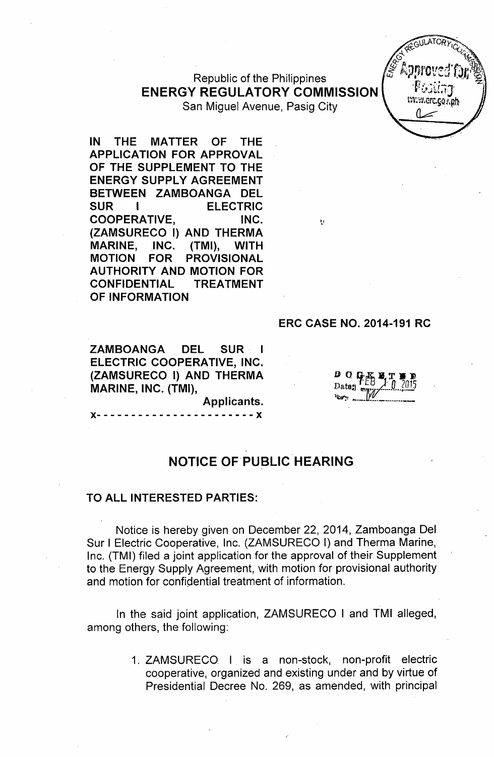# Republic of the Philippines ENERGY REGULATORY COMMISSION

San Miguel Avenue, Pasig City

IN THE MATTER OF THE APPLICATION FOR APPROVAL OF THE SUPPLEMENT TO THE ENERGY SUPPLY AGREEMENT BETWEEN ZAMBOANGA DEL SUR I ELECTRIC COOPERATIVE, INC. (ZAMSURECO I) AND THERMA MARINE, INC. (TMI), WITH MOTION FOR PROVISIONAL AUTHORITY AND MOTION FOR CONFIDENTIAL TREATMENT OF INFORMATION

0 O C

ERC CASE NO. 2014-191 RC

ZAMBOANGA DEL SUR I ELECTRIC COOPERATIVE, INC. (ZAMSURECO I) AND THERMA MARINE, INC. (TMI),

x- - - - - - - - - - - - - - - - - - - - - - - x

## NOTICE OF PUBLIC HEARING

Applicants.

#### TO ALL INTERESTED PARTIES:

Notice is hereby given on December 22, 2014, Zamboanga Del Sur I Electric Cooperative, Inc. (ZAMSURECO I) and Therma Marine, Inc. (TMI) filed a joint application for the approval of their Supplement to the Energy Supply Agreement, with motion for provisional authority and motion for confidential treatment of information.

In the said joint application, ZAMSURECO I and TMI alleged, among others, the following:

> 1. ZAMSURECO I is a non-stock, non-profit electric cooperative, organized and existing under and by virtue of Presidential Decree No. 269, as amended, with principal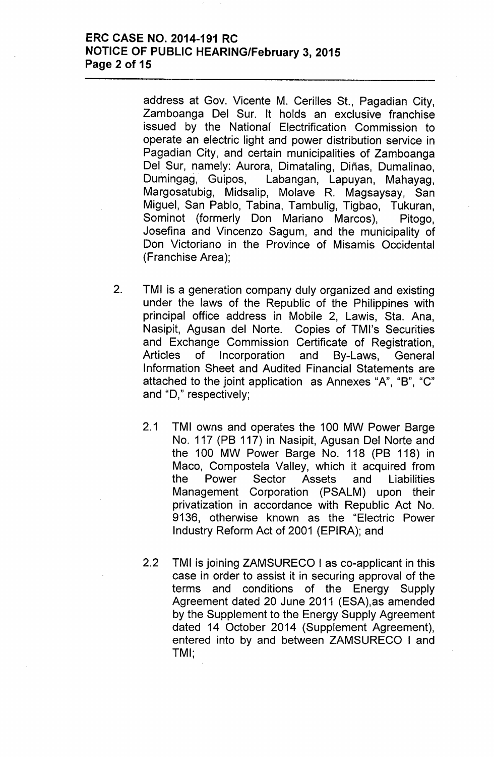### **ERC CASE NO. 2014-191 RC NOTICE OF PUBLIC HEARING/February 3, 2015 Page 2 of 15**

address at Gov. Vicente M. Cerilles St., Pagadian City, Zamboanga Del Sur. It holds an exclusive franchise issued by the National Electrification Commission to operate an electric light and power distribution service in Pagadian City, and certain municipalities of Zamboanga Del Sur, namely: Aurora, Dimataling, Diñas, Dumalinao, Dumingag, Guipos, Labangan, Lapuyan, Mahayag, Margosatubig, Midsalip, Molave R. Magsaysay, San Miguel, San Pablo, Tabina, Tambulig, Tigbao, Tukuran, Sominot (formerly Don Mariano Marcos), Pitogo, Josefina and Vincenzo Sagum, and the municipality of Don Victoriano in the Province of Misamis Occidental (Franchise Area);

- 2. TMI is a generation company duly organized and existing under the laws of the Republic of the Philippines with principal office address in Mobile 2, Lawis, Sta. Ana, Nasipit, Agusan del Norte. Copies of TMI's Securities and Exchange Commission Certificate of Registration, Articles of Incorporation and By-Laws, General Information Sheet and Audited Financial Statements are attached to the joint application as Annexes "A", "B", "C" and "D," respectively;
	- 2.1 TMI owns and operates the 100 MW Power Barge No. 117 (PB 117) in Nasipit, Agusan Del Norte and the 100 MW Power Barge No. 118 (PB 118) in Maco, Compostela Valley, which it acquired from the Power Sector Assets and Liabilities Management Corporation (PSALM) upon their privatization in accordance with Republic Act No. 9136, otherwise known as the "Electric Power Industry Reform Act of 2001 (EPIRA); and
	- 2.2 TMI is joining ZAMSURECO I as co-applicant in this case in order to assist it in securing approval of the terms and conditions of the Energy Supply Agreement dated 20 June 2011 (ESA),as amended by the Supplement to the Energy Supply Agreement dated 14 October 2014 (Supplement Agreement), entered into by and between ZAMSURECO I and TMI',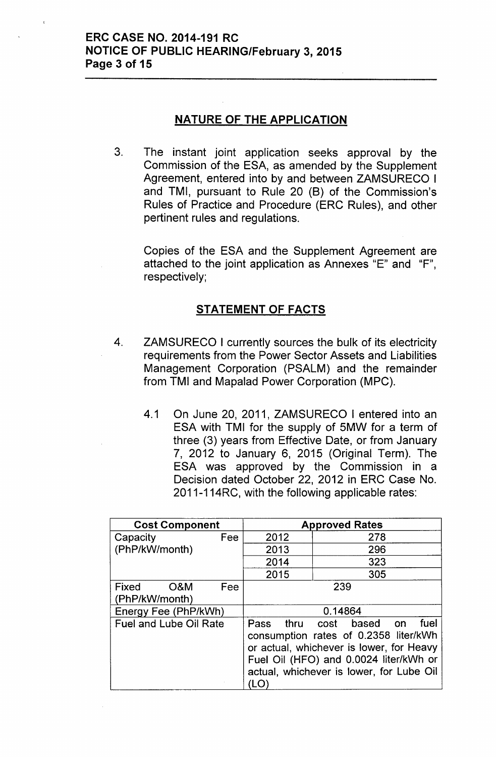### **NATURE OF THE APPLICATION**

3. The instant joint application seeks approval by the Commission of the ESA, as amended by the Supplement Agreement, entered into by and between ZAMSURECO I and TMI, pursuant to Rule 20 (8) of the Commission's Rules of Practice and Procedure (ERC Rules), and other pertinent rules and regulations.

Copies of the ESA and the Supplement Agreement are attached to the joint application as Annexes "E" and "F", respectively;

### **STATEMENT OF FACTS**

- 4. ZAMSURECO I currently sources the bulk of its electricity requirements from the Power Sector Assets and Liabilities Management Corporation (PSALM) and the remainder from TMI and Mapalad Power Corporation (MPC).
	- 4.1 On June 20, 2011, ZAMSURECO I entered into an ESA with TMI for the supply of 5MW for a term of three (3) years from Effective Date, or from January 7, 2012 to January 6, 2015 (Original Term). The ESA was approved by the Commission in a Decision dated October 22, 2012 in ERC Case No. 2011-114RC, with the following applicable rates:

| <b>Cost Component</b>                 | <b>Approved Rates</b>                                                                                                                                                                                                   |     |  |  |  |
|---------------------------------------|-------------------------------------------------------------------------------------------------------------------------------------------------------------------------------------------------------------------------|-----|--|--|--|
| Fee<br>Capacity                       | 2012                                                                                                                                                                                                                    | 278 |  |  |  |
| (PhP/kW/month)                        | 2013                                                                                                                                                                                                                    | 296 |  |  |  |
|                                       | 2014                                                                                                                                                                                                                    | 323 |  |  |  |
|                                       | 2015                                                                                                                                                                                                                    | 305 |  |  |  |
| Fixed<br>O&M<br>Fee<br>(PhP/kW/month) | 239                                                                                                                                                                                                                     |     |  |  |  |
| Energy Fee (PhP/kWh)                  | 0.14864                                                                                                                                                                                                                 |     |  |  |  |
| Fuel and Lube Oil Rate                | cost based on<br>fuel<br>thru<br>Pass<br>consumption rates of 0.2358 liter/kWh<br>or actual, whichever is lower, for Heavy<br>Fuel Oil (HFO) and 0.0024 liter/kWh or<br>actual, whichever is lower, for Lube Oil<br>'LO |     |  |  |  |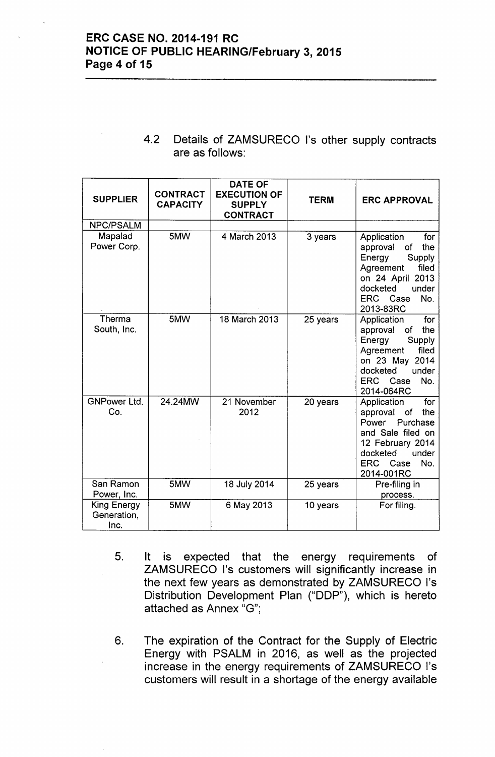### ERC CASE NO. 2014-191 RC NOTICE OF PUBLIC HEARING/February 3, 2015 Page 4 of 15

| 4.2 Details of ZAMSURECO I's other supply contracts |
|-----------------------------------------------------|
| are as follows:                                     |

| <b>SUPPLIER</b>                           | <b>CONTRACT</b><br><b>CAPACITY</b> | <b>DATE OF</b><br><b>EXECUTION OF</b><br><b>SUPPLY</b><br><b>CONTRACT</b> | <b>TERM</b> | <b>ERC APPROVAL</b>                                                                                                                                                       |
|-------------------------------------------|------------------------------------|---------------------------------------------------------------------------|-------------|---------------------------------------------------------------------------------------------------------------------------------------------------------------------------|
| NPC/PSALM                                 |                                    |                                                                           |             |                                                                                                                                                                           |
| Mapalad<br>Power Corp.                    | 5MW                                | 4 March 2013                                                              | 3 years     | Application<br>for<br>the<br>approval<br>of<br>Energy<br>Supply<br>filed<br>Agreement<br>on 24 April 2013<br>docketed<br>under<br>ERC Case<br>No.<br>2013-83RC            |
| Therma<br>South, Inc.                     | 5MW                                | 18 March 2013                                                             | 25 years    | for<br>Application<br>the<br>of<br>approval<br>Energy<br>Supply<br>Agreement<br>filed<br>on 23 May 2014<br>docketed<br>under<br>ERC Case<br>No.<br>2014-064RC             |
| <b>GNPower Ltd.</b><br>Co.                | 24.24MW                            | 21 November<br>2012                                                       | 20 years    | Application<br>for<br>the<br>approval<br>of<br>Power<br>Purchase<br>and Sale filed on<br>12 February 2014<br>under<br>docketed<br><b>ERC</b><br>No.<br>Case<br>2014-001RC |
| San Ramon<br>Power, Inc.                  | 5MW                                | 18 July 2014                                                              | 25 years    | Pre-filing in<br>process.                                                                                                                                                 |
| <b>King Energy</b><br>Generation,<br>Inc. | 5MW                                | 6 May 2013                                                                | 10 years    | For filing.                                                                                                                                                               |

- 5. It is expected that the energy requirements of ZAMSURECO I's customers will significantly increase in the next few years as demonstrated by ZAMSURECO I's Distribution Development Plan ("DDP"), which is hereto attached as Annex "G";
- 6. The expiration of the Contract for the Supply of Electric Energy with PSALM in 2016, as well as the projected increase in the energy requirements of ZAMSURECO I's customers will result in a shortage of the energy available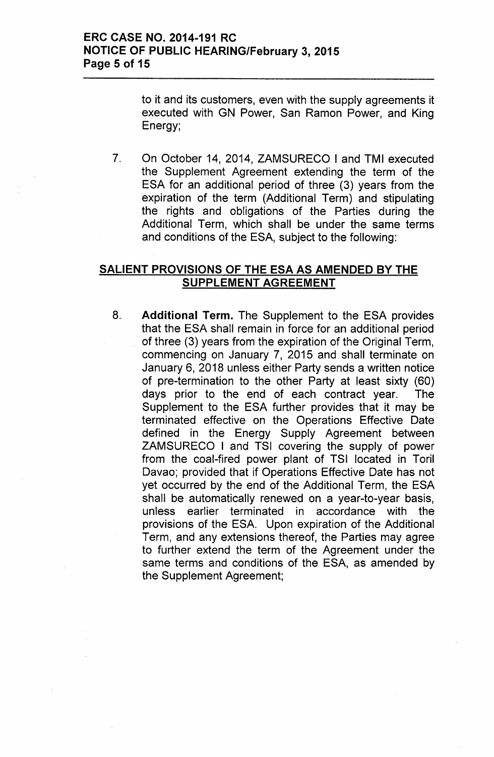to it and its customers, even with the supply agreements it executed with GN Power, San Ramon Power, and King Energy:

7. On October 14, 2014, ZAMSURECO I and TMI executed the Supplement Agreement extending the term of the ESA for an additional period of three (3) years from the expiration of the term (Additional Term) and stipulating the rights and obligations of the Parties during the Additional Term, which shall be under the same terms and conditions of the ESA, subject to the following:

### **SALIENT PROVISIONS OF THE ESA AS AMENDED BY THE SUPPLEMENT AGREEMENT**

8. **Additional Term.** The Supplement to the ESA provides that the ESA shall remain in force for an additional period of three (3) years from the expiration of the Original Term, commencing on January 7, 2015 and shall terminate on January 6, 2018 unless either Party sends a written notice of pre-termination to the other Party at least sixty (60) days prior to the end of each contract year. The Supplement to the ESA further provides that it may be terminated effective on the Operations Effective Date defined in the Energy Supply Agreement between ZAMSURECO I and TSI covering the supply of power from the coal-fired power plant of TSI located in Toril Davao; provided that if Operations Effective Date has not yet occurred by the end of the Additional Term, the ESA shall be automatically renewed on a year-to-year basis, unless earlier terminated in accordance with the provisions of the ESA. Upon expiration of the Additional Term, and any extensions thereof, the Parties may agree to further extend the term of the Agreement under the same terms and conditions of the ESA, as amended by the Supplement Agreement;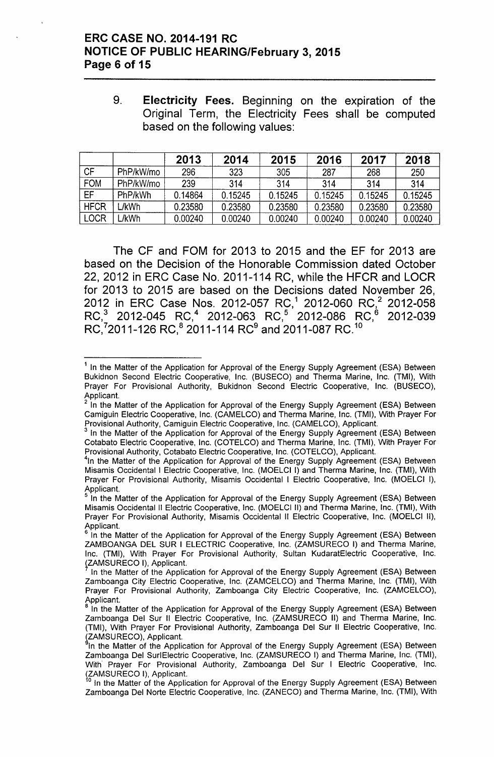### ERC CASE NO. 2014-191 RC NOTICE OF PUBLIC HEARING/February 3, 2015 Page 6 of 15

9. Electricity Fees. Beginning on the expiration of the Original Term, the Electricity Fees shall be computed based on the following values:

|             |           | 2013    | 2014    | 2015    | 2016    | 2017    | 2018    |
|-------------|-----------|---------|---------|---------|---------|---------|---------|
| <b>CF</b>   | PhP/kW/mo | 296     | 323     | 305     | 287     | 268     | 250     |
| <b>FOM</b>  | PhP/kW/mo | 239     | 314     | 314     | 314     | 314     | 314     |
| EF          | PhP/kWh   | 0.14864 | 0.15245 | 0.15245 | 0.15245 | 0.15245 | 0.15245 |
| <b>HFCR</b> | L/kWh     | 0.23580 | 0.23580 | 0.23580 | 0.23580 | 0.23580 | 0.23580 |
| <b>LOCR</b> | ./kWh     | 0.00240 | 0.00240 | 0.00240 | 0.00240 | 0.00240 | 0.00240 |

The CF and FOM for 2013 to 2015 and the EF for 2013 are based on the Decision of the Honorable Commission dated October 22,2012 in ERC Case No. 2011-114 RC, while the HFCR and LOCR for 2013 to 2015 are based on the Decisions dated November 26, 2012 in ERC Case Nos. 2012-057 RC,' 2012-060 RC,<sup>2</sup> 2012-058 RC,<sup>3</sup> 2012-045 RC,<sup>4</sup> 2012-063 RC,<sup>5</sup> 2012-086 RC,<sup>6</sup> 2012-039 RC,<sup>7</sup>2011-126 RC,<sup>8</sup> 2011-114 RC<sup>9</sup> and 2011-087 RC.<sup>10</sup>

<sup>&</sup>lt;sup>1</sup> In the Matter of the Application for Approval of the Energy Supply Agreement (ESA) Between Bukidnon Second Electric Cooperative, Inc. (BUSECO) and Therma Marine, Inc. (TMI), With Prayer For Provisional Authority, Bukidnon Second Electric Cooperative, Inc. (BUSECO), Applicant.

In the Matter of the Application for Approval of the Energy Supply Agreement (ESA) Between Camiguin Electric Cooperative, Inc. (CAMELCO) and Therma Marine, Inc. (TMI), With Prayer For Provisional Authority, Camiguin Electric Cooperative, Inc. (CAMELCO), Applicant.

<sup>3</sup> In the Matter of the Application for Approval of the Energy Supply Agreement (ESA) Between Cotabato Electric Cooperative, Inc. (COTELCO) and Therma Marine, Inc. (TMI), With Prayer For Provisional Authority, Cotabato Electric Cooperative, Inc. (COTELCO), Applicant.

<sup>&</sup>lt;sup>4</sup>In the Matter of the Application for Approval of the Energy Supply Agreement (ESA) Between Misamis Occidental I Electric Cooperative, Inc. (MOELCI I) and Therma Marine, Inc. (TMI), With Prayer For Provisional Authority, Misamis Occidental I Electric Cooperative, Inc. (MOELCI I), Applicant.

S In the Matter of the Application for Approval of the Energy Supply Agreement (ESA) Between Misamis Occidental II Electric Cooperative, Inc. (MOELCI II) and Therma Marine, Inc. (TMI), With Prayer For Provisional Authority, Misamis Occidental II Electric Cooperative, Inc. (MOELCI II), Applicant.

In the Matter of the Application for Approval of the Energy Supply Agreement (ESA) Between ZAMBOANGA DEL SUR I ELECTRIC Cooperative, Inc. (ZAMSURECO I) and Therma Marine, Inc. (TMI), With Prayer For Provisional Authority, Sultan KudaratElectric Cooperative, Inc. (ZAMSURECO I), Applicant.

In the Matter of the Application for Approval of the Energy Supply Agreement (ESA) Between Zamboanga City Electric Cooperative, Inc. (ZAMCELCO) and Therma Marine, Inc. (TMI), With Prayer For Provisional Authority, Zamboanga City Electric Cooperative, Inc. (ZAMCELCO), Applicant.

<sup>8</sup> In the Matter of the Application for Approval of the Energy Supply Agreement (ESA) Between Zamboanga Del Sur II Electric Cooperative, Inc. (ZAMSURECO II) and Therma Marine, Inc. (TMI), With Prayer For Provisional Authority, Zamboanga Del Sur II Electric Cooperative, Inc. (ZAMSURECO), Applican

In the Matter of the Application for Approval of the Energy Supply Agreement (ESA) Between Zamboanga Del SurlElectric Cooperative, Inc. (ZAMSURECO I) and Therma Marine, Inc. (TMI), With Prayer For Provisional Authority, Zamboanga Del Sur I Electric Cooperative, Inc. ZAMSURECO I), Applicant.

In the Matter of the Application for Approval of the Energy Supply Agreement (ESA) Between Zamboanga Del Norte Electric Cooperative, Inc. (ZANECO) and Therma Marine, Inc. (TMI), With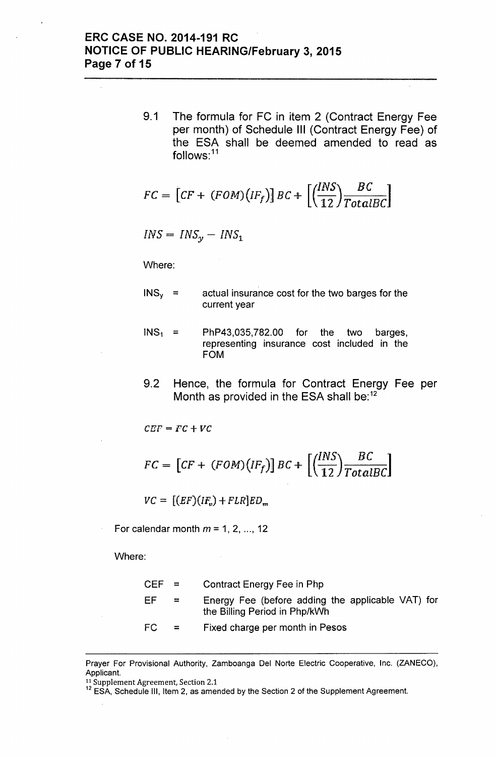### **ERC CASE NO. 2014-191 RC NOTICE OF PUBLIC HEARING/February 3, 2015 Page 7 of 15**

9.1 The formula for FC in item 2 (Contract Energy Fee per month) of Schedule **III** (Contract Energy Fee) of the ESA shall be deemed amended to read as follows:<sup>11</sup>

$$
FC = \left[ CF + (FOM)(IF_f) \right] BC + \left[ \left( \frac{INS}{12} \right) \frac{BC}{TotalBC} \right]
$$

$$
INS = INS_y - INS_1
$$

Where:

- $INS<sub>v</sub>$  = actual insurance cost for the two barges for the current year
- $INS<sub>1</sub>$  = PhP43,035,782.00 for the two barges, representing insurance cost included in the FOM
- 9.2 Hence, the formula for Contract Energy Fee per Month as provided in the ESA shall be:<sup>12</sup>

$$
CEF = FC + VC
$$

$$
FC = \left[ CF + (FOM)(IF_f) \right] BC + \left[ \left( \frac{INS}{12} \right) \frac{BC}{TotalBC} \right]
$$

 $VC = [(EF)(IF_{n}) + FLR]ED_{m}$ 

For calendar month  $m = 1, 2, ..., 12$ 

Where:

| CEF = |     | Contract Energy Fee in Php                                                         |
|-------|-----|------------------------------------------------------------------------------------|
| EF    | $=$ | Energy Fee (before adding the applicable VAT) for<br>the Billing Period in Php/kWh |
| FC    | $=$ | Fixed charge per month in Pesos                                                    |

Prayer For Provisional Authority, Zamboanga Del Norte Electric Cooperative, Inc. (ZANECO), Applicant.

<sup>&</sup>lt;sup>11</sup> Supplement Agreement, Section 2.1

<sup>&</sup>lt;sup>12</sup> ESA, Schedule III, Item 2, as amended by the Section 2 of the Supplement Agreement.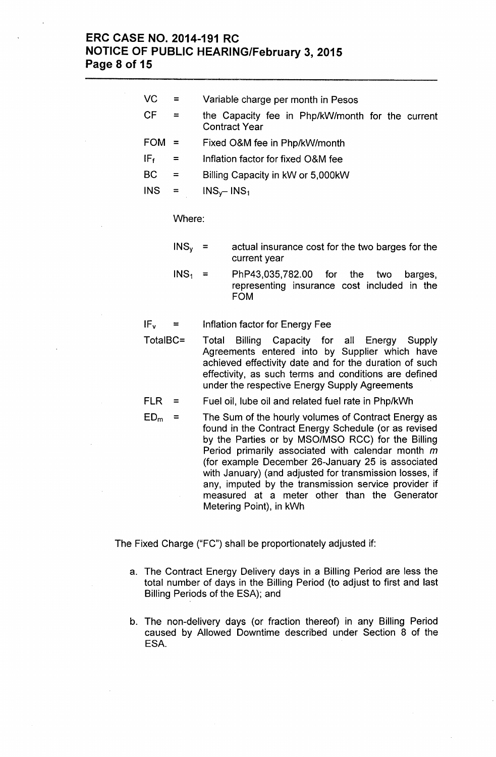### **ERC CASE NO. 2014-191 RC NOTICE OF PUBLIC HEARING/February 3,2015 Page 8 of 15**

- VC = Variable charge per month in Pesos
- $CF =$  the Capacity fee in Php/kW/month for the current Contract Year
- FOM = Fixed O&M fee in Php/kW/month
- $IF<sub>f</sub>$  = Inflation factor for fixed O&M fee
- $BC =$  Billing Capacity in kW or 5,000 kW
- $INS = INS_v INS_1$

#### Where:

- $INS<sub>v</sub>$  = actual insurance cost for the two barges for the current year
- $INS<sub>1</sub>$ PhP43,035,782.00 for the two barges,  $=$ representing insurance cost included in the FOM

 $IF<sub>v</sub>$  = Inflation factor for Energy Fee

- TotalBC= Total Billing Capacity for all Energy Supply Agreements entered into by Supplier which have achieved effectivity date and for the duration of such effectivity, as such terms and conditions are defined under the respective Energy Supply Agreements
- FLR = Fuel oil, lube oil and related fuel rate in Php/kWh
- $ED<sub>m</sub>$  = The Sum of the hourly volumes of Contract Energy as found in the Contract Energy Schedule (or as revised by the Parties or by MSO/MSO RCC) for the Billing Period primarily associated with calendar month m (for example December 26-January 25 is associated with January) (and adjusted for transmission losses, if any, imputed by the transmission service provider if measured at a meter other than the Generator Metering Point), in kWh

The Fixed Charge ("FC") shall be proportionately adjusted if:

- a. The Contract Energy Delivery days in a Billing Period are less the total number of days in the Billing Period (to adjust to first and last Billing Periods of the ESA); and
- b. The non-delivery days (or fraction thereof) in any Billing Period caused by Allowed Downtime described under Section 8 of the ESA.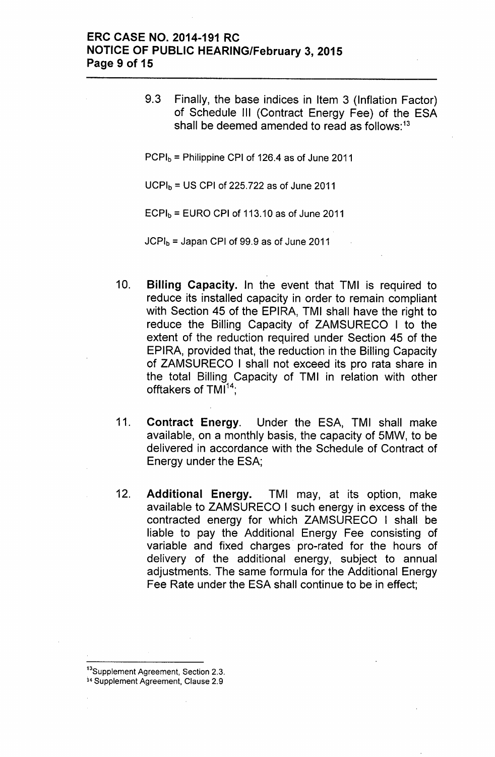### ERC CASE NO. 2014-191 RC NOTICE OF PUBLIC HEARING/February 3, 2015 Page 9 of 15

9.3 Finally, the base indices in Item 3 (Inflation Factor) of Schedule III (Contract Energy Fee) of the ESA shall be deemed amended to read as follows:<sup>13</sup>

 $PCPI<sub>b</sub>$  = Philippine CPI of 126.4 as of June 2011

 $UCPI<sub>b</sub> = US CPU of 225.722 as of June 2011$ 

 $ECPI<sub>b</sub> = EURO CPI of 113.10 as of June 2011$ 

 $JCPI<sub>b</sub>$  = Japan CPI of 99.9 as of June 2011

- 10. Billing Capacity. In the event that TMI is required to reduce its installed capacity in order to remain compliant with Section 45 of the EPIRA, TMI shall have the right to reduce the Billing Capacity of ZAMSURECO I to the extent of the reduction required under Section 45 of the EPIRA, provided that, the reduction in the Billing Capacity of ZAMSURECO I shall not exceed its pro rata share in the total Billing Capacity of TMI in relation with other offtakers of TMI<sup>14</sup>;
- 11. Contract Energy. Under the ESA, TMI shall make available, on a monthly basis, the capacity of 5MW, to be delivered in accordance with the Schedule of Contract of Energy under the ESA;
- 12. Additional Energy. TMI may, at its option, make available to ZAMSURECO I such energy in excess of the contracted energy for which ZAMSURECO I shall be liable to pay the Additional Energy Fee consisting of variable and fixed charges pro-rated for the hours of delivery of the additional energy, subject to annual adjustments. The same formula for the Additional Energy Fee Rate under the ESA shall continue to be in effect;

<sup>13</sup>Supplement Agreement, Section 2.3.

14 Supplement Agreement, Clause 2.9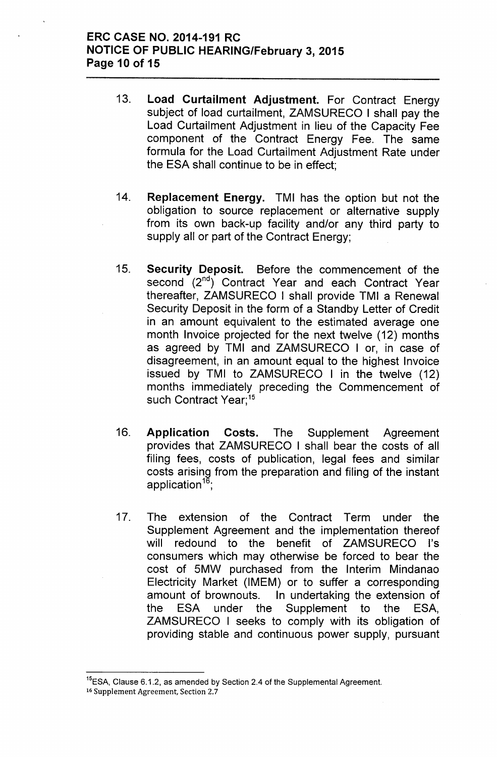### ERC CASE NO. 2014-191 RC NOTICE OF PUBLIC HEARING/February 3, 2015 Page 10 of 15

- 13. Load Curtailment Adjustment. For Contract Energy subject of load curtailment, ZAMSURECO I shall pay the Load Curtailment Adjustment in lieu of the Capacity Fee component of the Contract Energy Fee. The same formula for the Load Curtailment Adjustment Rate under the ESA shall continue to be in effect;
- 14. Replacement Energy. TMI has the option but not the obligation to source replacement or alternative supply from its own back-up facility and/or any third party to supply all or part of the Contract Energy;
- 15. Security Deposit. Before the commencement of the second (2<sup>nd</sup>) Contract Year and each Contract Year thereafter, ZAMSURECO I shall provide TMI a Renewal Security Deposit in the form of a Standby Letter of Credit in an amount equivalent to the estimated average one month Invoice projected for the next twelve (12) months as agreed by TMI and ZAMSURECO lor, in case of disagreement, in an amount equal to the highest Invoice issued by TMI to ZAMSURECO I in the twelve (12) months immediately preceding the Commencement of such Contract Year;<sup>15</sup>
- 16. Application Costs. The Supplement Agreement provides that ZAMSURECO I shall bear the costs of all filing fees, costs of publication, legal fees and similar costs arising from the preparation and filing of the instant application $16$ ;
- 17. The extension of the Contract Term under the Supplement Agreement and the implementation thereof will redound to the benefit of ZAMSURECO I's consumers which may otherwise be forced to bear the cost of 5MW purchased from the Interim Mindanao Electricity Market (IMEM) or to suffer a corresponding amount of brownouts. In undertaking the extension of the ESA under the Supplement to the ESA, ZAMSURECO I seeks to comply with its obligation of providing stable and continuous power supply, pursuant

<sup>&</sup>lt;sup>15</sup>ESA, Clause 6.1.2, as amended by Section 2.4 of the Supplemental Agreement.

<sup>16</sup> Supplement Agreement, Section 2.7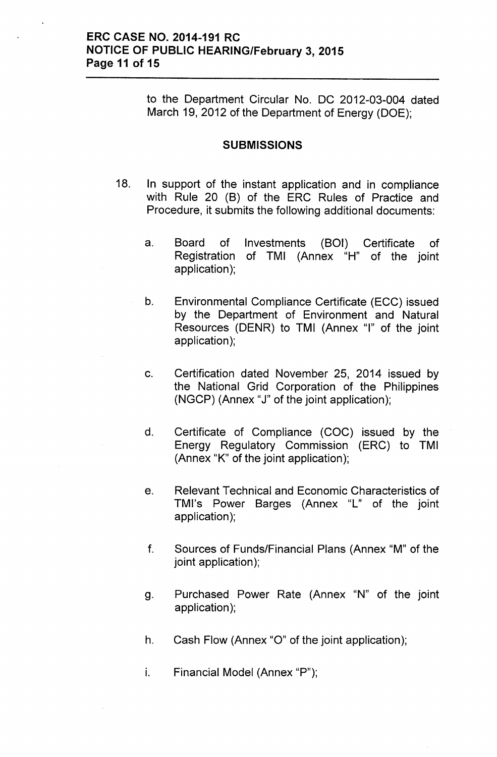### ERC CASE NO. 2014-191 RC NOTICE OF PUBLIC HEARING/February 3, 2015 Page 11 of 15

to the Department Circular No. DC 2012-03-004 dated March 19, 2012 of the Department of Energy (DOE);

#### **SUBMISSIONS**

- 18. In support of the instant application and in compliance with Rule 20 (B) of the ERC Rules of Practice and Procedure, it submits the following additional documents:
	- a. Board of Investments (BOI) Certificate of Registration of TMI (Annex "H" of the joint application);
	- b. Environmental Compliance Certificate (ECC) issued by the Department of Environment and Natural Resources (DENR) to TMI (Annex "I" of the joint application);
	- c. Certification dated November 25, 2014 issued by the National Grid Corporation of the Philippines (NGCP) (Annex "J" of the joint application);
	- d. Certificate of Compliance (COC) issued by the Energy Regulatory Commission (ERC) to TMI (Annex "K" of the joint application);
	- e. Relevant Technical and Economic Characteristics of TMI's Power Barges (Annex "L" of the joint application);
	- f. Sources of Funds/Financial Plans (Annex "M" of the joint application);
	- g. Purchased Power Rate (Annex "N" of the joint application);
	- h. Cash Flow (Annex "0" of the joint application);
	- i. Financial Model (Annex "P");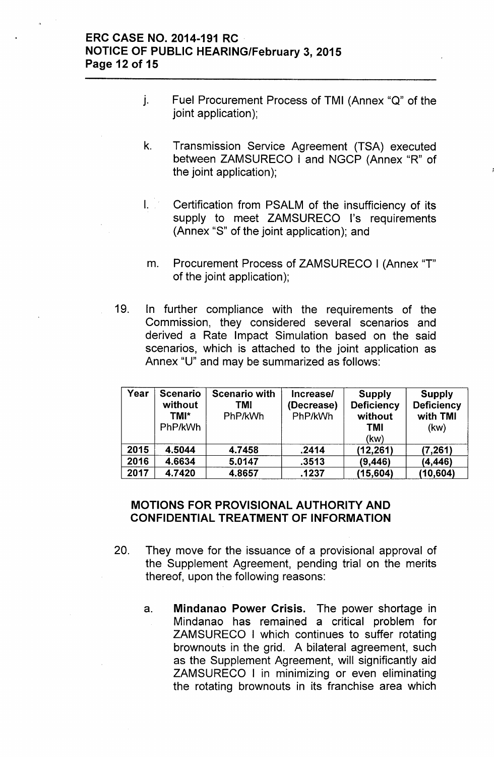### ERC CASE NO. 2014-191 RC NOTICE OF PUBLIC HEARING/February 3, 2015 Page 12 of 15

- j. Fuel Procurement Process of TMI (Annex "Q" of the joint application);
- k. Transmission Service Agreement (TSA) executed between ZAMSURECO I and NGCP (Annex "R" of the joint application);
- I. Certification from PSALM of the insufficiency of its supply to meet ZAMSURECO I's requirements (Annex "S" of the joint application); and
- m. Procurement Process of ZAMSURECO I (Annex "T" of the joint application);
- 19. In further compliance with the requirements of the Commission, they considered several scenarios and derived a Rate Impact Simulation based on the said scenarios, which is attached to the joint application as Annex "U" and may be summarized as follows:

| Year | <b>Scenario</b><br>without<br>TMI*<br>PhP/kWh | <b>Scenario with</b><br>TMI<br>PhP/kWh | <b>Increase/</b><br>(Decrease)<br>PhP/kWh | <b>Supply</b><br><b>Deficiency</b><br>without<br><b>TMI</b><br>(kw) | <b>Supply</b><br><b>Deficiency</b><br>with TMI<br>(kw) |
|------|-----------------------------------------------|----------------------------------------|-------------------------------------------|---------------------------------------------------------------------|--------------------------------------------------------|
| 2015 | 4.5044                                        | 4.7458                                 | .2414                                     | (12, 261)                                                           | (7, 261)                                               |
| 2016 | 4.6634                                        | 5.0147                                 | .3513                                     | (9, 446)                                                            | (4, 446)                                               |
| 2017 | 4.7420                                        | 4.8657                                 | .1237                                     | (15,604)                                                            | (10, 604)                                              |

### MOTIONS FOR PROVISIONAL AUTHORITY AND CONFIDENTIAL TREATMENT OF INFORMATION

- 20. They move for the issuance of a provisional approval of the Supplement Agreement, pending trial on the merits thereof, upon the following reasons:
	- a. Mindanao Power Crisis. The power shortage in Mindanao has remained a critical problem for ZAMSURECO I which continues to suffer rotating brownouts in the grid. A bilateral agreement, such as the Supplement Agreement, will significantly aid ZAMSURECO I in minimizing or even eliminating the rotating brownouts in its franchise area which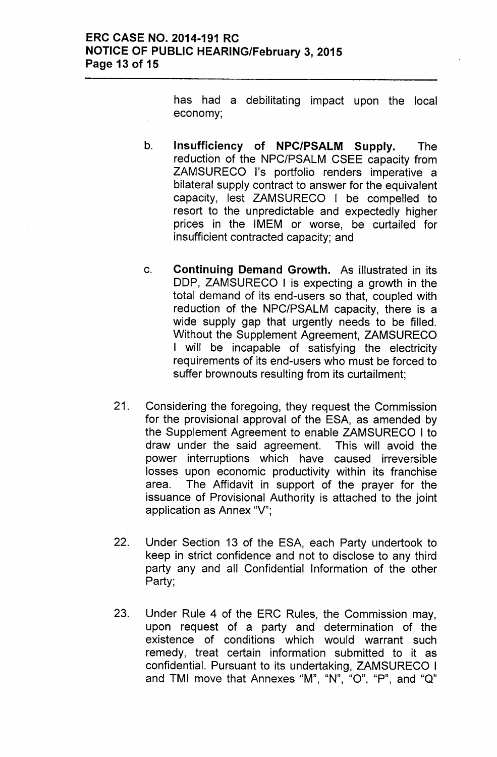### ERC CASE NO. 2014-191 RC NOTICE OF PUBLIC HEARING/February 3, 2015 Page 13 of 15

has had a debilitating impact upon the local economy;

- b. Insufficiency of NPC/PSALM Supply. The reduction of the NPC/PSALM CSEE capacity from ZAMSURECO I's portfolio renders imperative a bilateral supply contract to answer for the equivalent capacity, lest ZAMSURECO I be compelled to resort to the unpredictable and expectedly higher prices in the IMEM or worse, be curtailed for insufficient contracted capacity; and
- c. Continuing Demand Growth. As illustrated in its DDP, ZAMSURECO I is expecting a growth in the total demand of its end-users so that, coupled with reduction of the NPC/PSALM capacity, there is a wide supply gap that urgently needs to be filled. Without the Supplement Agreement, ZAMSURECO I will be incapable of satisfying the electricity requirements of its end-users who must be forced to suffer brownouts resulting from its curtailment;
- 21. Considering the foregoing, they request the Commission for the provisional approval of the ESA, as amended by the Supplement Agreement to enable ZAMSURECO I to draw under the said agreement. This will avoid the power interruptions which have caused irreversible losses upon economic productivity within its franchise area. The Affidavit in support of the prayer for the issuance of Provisional Authority is attached to the joint application as Annex "V";
- 22. Under Section 13 of the ESA, each Party undertook to keep in strict confidence and not to disclose to any third party any and all Confidential Information of the other Party;
- 23. Under Rule 4 of the ERC Rules, the Commission may, upon request of a party and determination of the existence of conditions which would warrant such remedy, treat certain information submitted to it as confidential. Pursuant to its undertaking, ZAMSURECO I and TMI move that Annexes "M", "N", "O", "P", and "Q"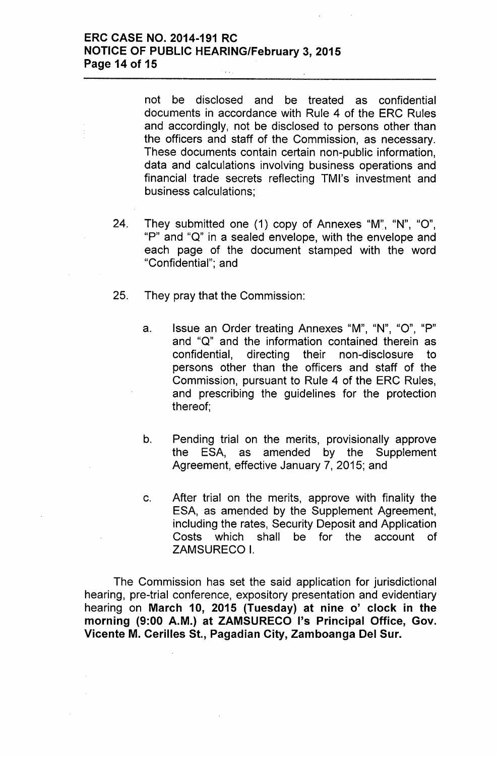### **ERC CASE NO. 2014-191 RC NOTICE OF PUBLIC HEARING/February 3, 2015 Page 14 of 15**

not be disclosed and be treated as confidential documents in accordance with Rule 4 of the ERC Rules and accordingly, not be disclosed to persons other than the officers and staff of the Commission, as necessary. These documents contain certain non-public information, data and calculations involving business operations and financial trade secrets reflecting TMI's investment and business calculations;

- 24. They submitted one (1) copy of Annexes "M", "N", "0", "P" and "Q" in a sealed envelope, with the envelope and each page of the document stamped with the word "Confidential"; and
- 25. They pray that the Commission:
	- a. Issue an Order treating Annexes "M", "N", "0" , "P" and "Q" and the information contained therein as confidential, directing their non-disclosure to persons other than the officers and staff of the Commission, pursuant to Rule 4 of the ERC Rules, and prescribing the guidelines for the protection thereof;
	- b. Pending trial on the merits, provisionally approve the ESA, as amended by the Supplement Agreement, effective January 7, 2015; and
	- c. After trial on the merits, approve with finality the ESA, as amended by the Supplement Agreement, including the rates, Security Deposit and Application Costs which shall be for the account of ZAMSURECO I.

The Commission has set the said application for jurisdictional hearing, pre-trial conference, expository presentation and evidentiary hearing on **March 10, 2015 (Tuesday) at nine 0' clock in the morning (9:00 A.M.) at ZAMSURECO I's Principal Office, Gov. Vicente M. Cerilles St., Pagadian City, Zamboanga Del Sur.**